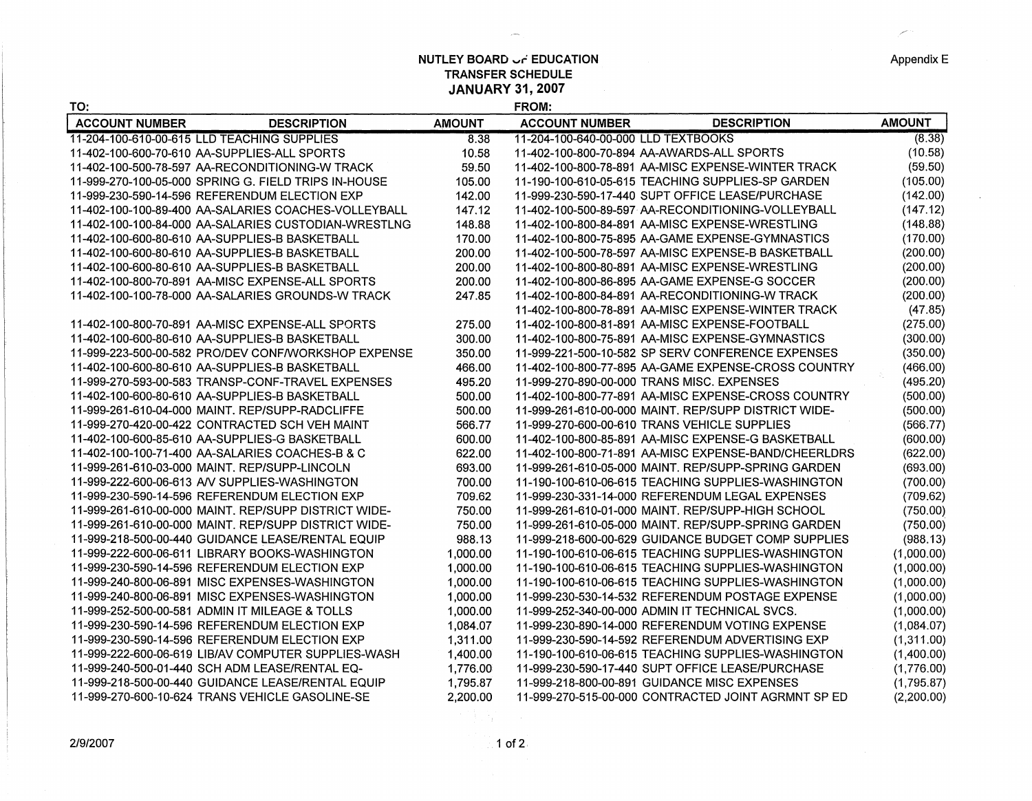## **NUTLEY BOARD**  $\cup$  **<b>FEDUCATION TRANSFER SCHEDULE JANUARY 31, 2007**

**FROM:** 

| TO:                   |                                                      |               | FROM:                               |                                                      |               |
|-----------------------|------------------------------------------------------|---------------|-------------------------------------|------------------------------------------------------|---------------|
| <b>ACCOUNT NUMBER</b> | <b>DESCRIPTION</b>                                   | <b>AMOUNT</b> | <b>ACCOUNT NUMBER</b>               | <b>DESCRIPTION</b>                                   | <b>AMOUNT</b> |
|                       | 11-204-100-610-00-615 LLD TEACHING SUPPLIES          | 8.38          | 11-204-100-640-00-000 LLD TEXTBOOKS |                                                      | (8.38)        |
|                       | 11-402-100-600-70-610 AA-SUPPLIES-ALL SPORTS         | 10.58         |                                     | 11-402-100-800-70-894 AA-AWARDS-ALL SPORTS           | (10.58)       |
|                       | 11-402-100-500-78-597 AA-RECONDITIONING-W TRACK      | 59.50         |                                     | 11-402-100-800-78-891 AA-MISC EXPENSE-WINTER TRACK   | (59.50)       |
|                       | 11-999-270-100-05-000 SPRING G. FIELD TRIPS IN-HOUSE | 105.00        |                                     | 11-190-100-610-05-615 TEACHING SUPPLIES-SP GARDEN    | (105.00)      |
|                       | 11-999-230-590-14-596 REFERENDUM ELECTION EXP        | 142.00        |                                     | 11-999-230-590-17-440 SUPT OFFICE LEASE/PURCHASE     | (142.00)      |
|                       | 11-402-100-100-89-400 AA-SALARIES COACHES-VOLLEYBALL | 147.12        |                                     | 11-402-100-500-89-597 AA-RECONDITIONING-VOLLEYBALL   | (147.12)      |
|                       | 11-402-100-100-84-000 AA-SALARIES CUSTODIAN-WRESTLNG | 148.88        |                                     | 11-402-100-800-84-891 AA-MISC EXPENSE-WRESTLING      | (148.88)      |
|                       | 11-402-100-600-80-610 AA-SUPPLIES-B BASKETBALL       | 170.00        |                                     | 11-402-100-800-75-895 AA-GAME EXPENSE-GYMNASTICS     | (170.00)      |
|                       | 11-402-100-600-80-610 AA-SUPPLIES-B BASKETBALL       | 200.00        |                                     | 11-402-100-500-78-597 AA-MISC EXPENSE-B BASKETBALL   | (200.00)      |
|                       | 11-402-100-600-80-610 AA-SUPPLIES-B BASKETBALL       | 200.00        |                                     | 11-402-100-800-80-891 AA-MISC EXPENSE-WRESTLING      | (200.00)      |
|                       | 11-402-100-800-70-891 AA-MISC EXPENSE-ALL SPORTS     | 200.00        |                                     | 11-402-100-800-86-895 AA-GAME EXPENSE-G SOCCER       | (200.00)      |
|                       | 11-402-100-100-78-000 AA-SALARIES GROUNDS-W TRACK    | 247.85        |                                     | 11-402-100-800-84-891 AA-RECONDITIONING-W TRACK      | (200.00)      |
|                       |                                                      |               |                                     | 11-402-100-800-78-891 AA-MISC EXPENSE-WINTER TRACK   | (47.85)       |
|                       | 11-402-100-800-70-891 AA-MISC EXPENSE-ALL SPORTS     | 275.00        |                                     | 11-402-100-800-81-891 AA-MISC EXPENSE-FOOTBALL       | (275.00)      |
|                       | 11-402-100-600-80-610 AA-SUPPLIES-B BASKETBALL       | 300.00        |                                     | 11-402-100-800-75-891 AA-MISC EXPENSE-GYMNASTICS     | (300.00)      |
|                       | 11-999-223-500-00-582 PRO/DEV CONF/WORKSHOP EXPENSE  | 350.00        |                                     | 11-999-221-500-10-582 SP SERV CONFERENCE EXPENSES    | (350.00)      |
|                       | 11-402-100-600-80-610 AA-SUPPLIES-B BASKETBALL       | 466.00        |                                     | 11-402-100-800-77-895 AA-GAME EXPENSE-CROSS COUNTRY  | (466.00)      |
|                       | 11-999-270-593-00-583 TRANSP-CONF-TRAVEL EXPENSES    | 495.20        |                                     | 11-999-270-890-00-000 TRANS MISC. EXPENSES           | (495.20)      |
|                       | 11-402-100-600-80-610 AA-SUPPLIES-B BASKETBALL       | 500.00        |                                     | 11-402-100-800-77-891 AA-MISC EXPENSE-CROSS COUNTRY  | (500.00)      |
|                       | 11-999-261-610-04-000 MAINT, REP/SUPP-RADCLIFFE      | 500.00        |                                     | 11-999-261-610-00-000 MAINT, REP/SUPP DISTRICT WIDE- | (500.00)      |
|                       | 11-999-270-420-00-422 CONTRACTED SCH VEH MAINT       | 566.77        |                                     | 11-999-270-600-00-610 TRANS VEHICLE SUPPLIES         | (566.77)      |
|                       | 11-402-100-600-85-610 AA-SUPPLIES-G BASKETBALL       | 600.00        |                                     | 11-402-100-800-85-891 AA-MISC EXPENSE-G BASKETBALL   | (600.00)      |
|                       | 11-402-100-100-71-400 AA-SALARIES COACHES-B & C      | 622.00        |                                     | 11-402-100-800-71-891 AA-MISC EXPENSE-BAND/CHEERLDRS | (622.00)      |
|                       | 11-999-261-610-03-000 MAINT, REP/SUPP-LINCOLN        | 693.00        |                                     | 11-999-261-610-05-000 MAINT. REP/SUPP-SPRING GARDEN  | (693.00)      |
|                       | 11-999-222-600-06-613 AV SUPPLIES-WASHINGTON         | 700.00        |                                     | 11-190-100-610-06-615 TEACHING SUPPLIES-WASHINGTON   | (700.00)      |
|                       | 11-999-230-590-14-596 REFERENDUM ELECTION EXP        | 709.62        |                                     | 11-999-230-331-14-000 REFERENDUM LEGAL EXPENSES      | (709.62)      |
|                       | 11-999-261-610-00-000 MAINT. REP/SUPP DISTRICT WIDE- | 750.00        |                                     | 11-999-261-610-01-000 MAINT. REP/SUPP-HIGH SCHOOL    | (750.00)      |
|                       | 11-999-261-610-00-000 MAINT. REP/SUPP DISTRICT WIDE- | 750.00        |                                     | 11-999-261-610-05-000 MAINT. REP/SUPP-SPRING GARDEN  | (750.00)      |
|                       | 11-999-218-500-00-440 GUIDANCE LEASE/RENTAL EQUIP    | 988.13        |                                     | 11-999-218-600-00-629 GUIDANCE BUDGET COMP SUPPLIES  | (988.13)      |
|                       | 11-999-222-600-06-611 LIBRARY BOOKS-WASHINGTON       | 1,000.00      |                                     | 11-190-100-610-06-615 TEACHING SUPPLIES-WASHINGTON   | (1,000.00)    |
|                       | 11-999-230-590-14-596 REFERENDUM ELECTION EXP        | 1,000.00      |                                     | 11-190-100-610-06-615 TEACHING SUPPLIES-WASHINGTON   | (1,000.00)    |
|                       | 11-999-240-800-06-891 MISC EXPENSES-WASHINGTON       | 1.000.00      |                                     | 11-190-100-610-06-615 TEACHING SUPPLIES-WASHINGTON   | (1,000.00)    |
|                       | 11-999-240-800-06-891 MISC EXPENSES-WASHINGTON       | 1,000.00      |                                     | 11-999-230-530-14-532 REFERENDUM POSTAGE EXPENSE     | (1,000.00)    |
|                       | 11-999-252-500-00-581 ADMIN IT MILEAGE & TOLLS       | 1,000.00      |                                     | 11-999-252-340-00-000 ADMIN IT TECHNICAL SVCS.       | (1,000.00)    |
|                       | 11-999-230-590-14-596 REFERENDUM ELECTION EXP        | 1,084.07      |                                     | 11-999-230-890-14-000 REFERENDUM VOTING EXPENSE      | (1,084.07)    |
|                       | 11-999-230-590-14-596 REFERENDUM ELECTION EXP        | 1,311.00      |                                     | 11-999-230-590-14-592 REFERENDUM ADVERTISING EXP     | (1,311.00)    |
|                       | 11-999-222-600-06-619 LIB/AV COMPUTER SUPPLIES-WASH  | 1,400.00      |                                     | 11-190-100-610-06-615 TEACHING SUPPLIES-WASHINGTON   | (1,400.00)    |
|                       | 11-999-240-500-01-440 SCH ADM LEASE/RENTAL EQ-       | 1,776.00      |                                     | 11-999-230-590-17-440 SUPT OFFICE LEASE/PURCHASE     | (1,776.00)    |
|                       | 11-999-218-500-00-440 GUIDANCE LEASE/RENTAL EQUIP    | 1,795.87      |                                     | 11-999-218-800-00-891 GUIDANCE MISC EXPENSES         | (1,795.87)    |
|                       | 11-999-270-600-10-624 TRANS VEHICLE GASOLINE-SE      | 2.200.00      |                                     | 11-999-270-515-00-000 CONTRACTED JOINT AGRMNT SP ED  | (2,200.00)    |
|                       |                                                      |               |                                     |                                                      |               |
|                       |                                                      |               |                                     |                                                      |               |

2/9/2007

Appendix E

المستر